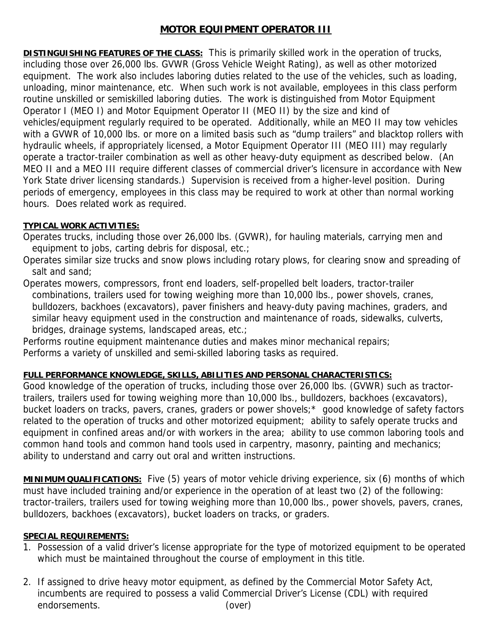## **MOTOR EQUIPMENT OPERATOR III**

**DISTINGUISHING FEATURES OF THE CLASS:** This is primarily skilled work in the operation of trucks, including those over 26,000 lbs. GVWR (Gross Vehicle Weight Rating), as well as other motorized equipment. The work also includes laboring duties related to the use of the vehicles, such as loading, unloading, minor maintenance, etc. When such work is not available, employees in this class perform routine unskilled or semiskilled laboring duties. The work is distinguished from Motor Equipment Operator I (MEO I) and Motor Equipment Operator II (MEO II) by the size and kind of vehicles/equipment regularly required to be operated. Additionally, while an MEO II may tow vehicles with a GVWR of 10,000 lbs. or more on a limited basis such as "dump trailers" and blacktop rollers with hydraulic wheels, if appropriately licensed, a Motor Equipment Operator III (MEO III) may regularly operate a tractor-trailer combination as well as other heavy-duty equipment as described below. (An MEO II and a MEO III require different classes of commercial driver's licensure in accordance with New York State driver licensing standards.) Supervision is received from a higher-level position. During periods of emergency, employees in this class may be required to work at other than normal working hours. Does related work as required.

## **TYPICAL WORK ACTIVITIES:**

- Operates trucks, including those over 26,000 lbs. (GVWR), for hauling materials, carrying men and equipment to jobs, carting debris for disposal, etc.;
- Operates similar size trucks and snow plows including rotary plows, for clearing snow and spreading of salt and sand;
- Operates mowers, compressors, front end loaders, self-propelled belt loaders, tractor-trailer combinations, trailers used for towing weighing more than 10,000 lbs., power shovels, cranes, bulldozers, backhoes (excavators), paver finishers and heavy-duty paving machines, graders, and similar heavy equipment used in the construction and maintenance of roads, sidewalks, culverts, bridges, drainage systems, landscaped areas, etc.;

Performs routine equipment maintenance duties and makes minor mechanical repairs; Performs a variety of unskilled and semi-skilled laboring tasks as required.

## **FULL PERFORMANCE KNOWLEDGE, SKILLS, ABILITIES AND PERSONAL CHARACTERISTICS:**

Good knowledge of the operation of trucks, including those over 26,000 lbs. (GVWR) such as tractortrailers, trailers used for towing weighing more than 10,000 lbs., bulldozers, backhoes (excavators), bucket loaders on tracks, pavers, cranes, graders or power shovels;\* good knowledge of safety factors related to the operation of trucks and other motorized equipment; ability to safely operate trucks and equipment in confined areas and/or with workers in the area; ability to use common laboring tools and common hand tools and common hand tools used in carpentry, masonry, painting and mechanics; ability to understand and carry out oral and written instructions.

**MINIMUM QUALIFICATIONS:** Five (5) years of motor vehicle driving experience, six (6) months of which must have included training and/or experience in the operation of at least two (2) of the following: tractor-trailers, trailers used for towing weighing more than 10,000 lbs., power shovels, pavers, cranes, bulldozers, backhoes (excavators), bucket loaders on tracks, or graders.

## **SPECIAL REQUIREMENTS:**

- 1. Possession of a valid driver's license appropriate for the type of motorized equipment to be operated which must be maintained throughout the course of employment in this title.
- 2. If assigned to drive heavy motor equipment, as defined by the Commercial Motor Safety Act, incumbents are required to possess a valid Commercial Driver's License (CDL) with required endorsements. (over)